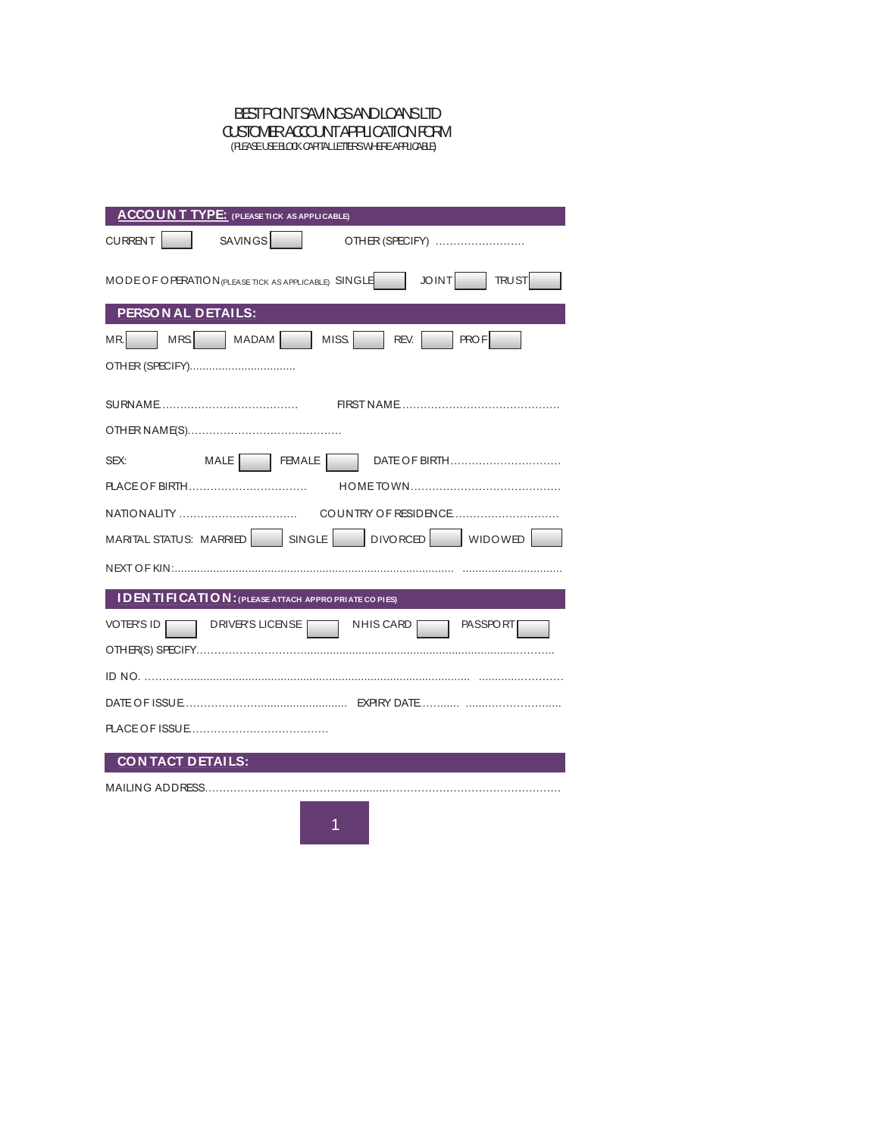#### BEST POINT SAVINGS AND LOANS LTD CUSTOMER ACCOUNT APPLICATION FORM (PLEASE USE BLOCK CAPITAL LETTERS WHERE APPLICABLE)

| <b>ACCOUNT TYPE:</b> (PLEASE TICK AS APPLICABLE)                              |
|-------------------------------------------------------------------------------|
| SAVINGS <sup>N</sup><br><b>CURRENT</b><br>OTHER (SPECIFY)                     |
| JOINT<br><b>TRUST</b><br>MODE OF OPERATION (PLEASE TICK AS APPLICABLE) SINGLE |
| PERSON AL DETAILS:                                                            |
| MRS   MADAM   MISS   REV.   PROF<br>MR.                                       |
|                                                                               |
|                                                                               |
|                                                                               |
| MALE   FEMALE<br>DATE OF BIRTH<br>SEX:                                        |
| PLACE OF BIRTH                                                                |
|                                                                               |
| MARITAL STATUS: MARRIED   SINGLE   DIVORCED   WIDOWED                         |
|                                                                               |
| <b>IDEN TIFICATION:</b> (PLEASE ATTACH APPROPRIATE CO PIES)                   |
| DRIVER'S LICENSE NHIS CARD<br>VOTER'S ID<br><b>PASSPORT</b>                   |
|                                                                               |
|                                                                               |
|                                                                               |
|                                                                               |
| <b>CONTACT DETAILS:</b>                                                       |
| MAILING ADDRESS                                                               |
|                                                                               |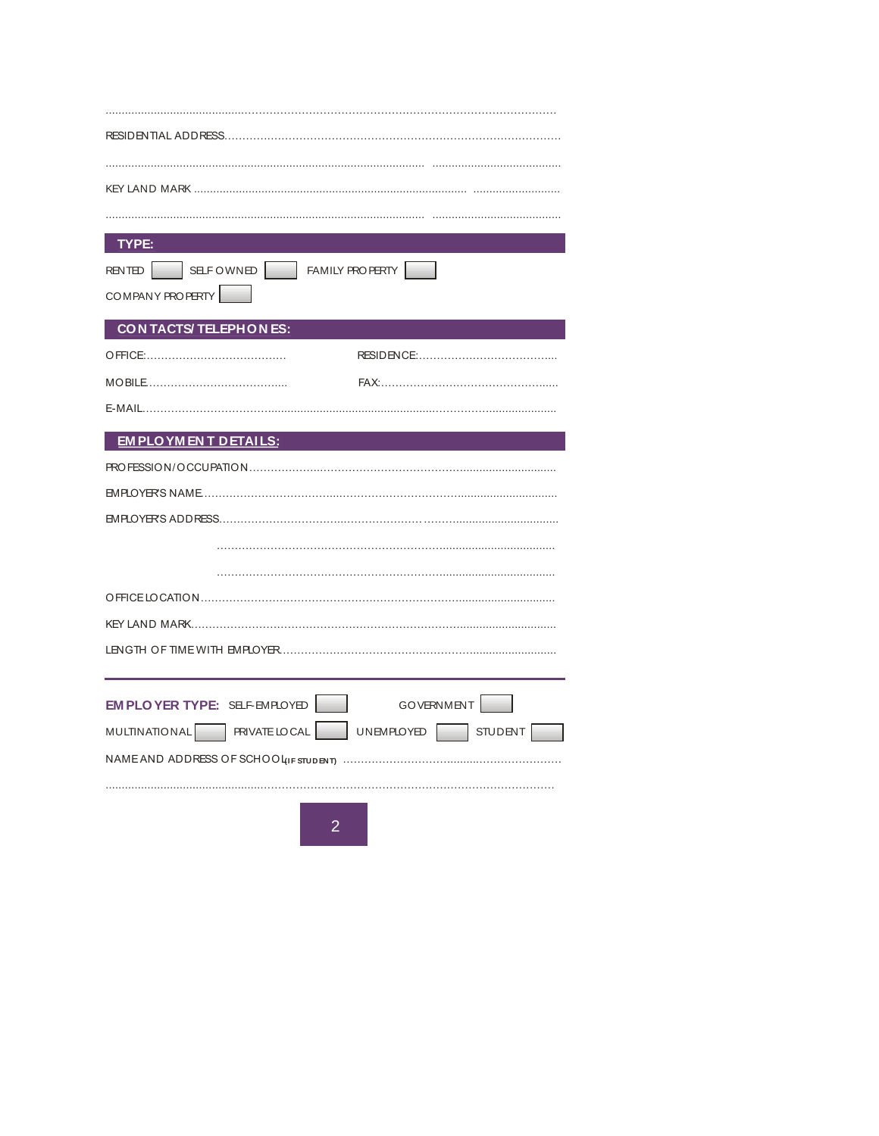| TYPE:                                                                 |
|-----------------------------------------------------------------------|
| SELFOWNED FAMILY PROPERTY<br><b>RENTED</b>                            |
| COMPANY PROPERTY                                                      |
| CON TACTS/ TELEPHONES:                                                |
|                                                                       |
|                                                                       |
|                                                                       |
|                                                                       |
| <b>EM PLO YM EN T DETAILS:</b>                                        |
|                                                                       |
|                                                                       |
|                                                                       |
|                                                                       |
|                                                                       |
|                                                                       |
|                                                                       |
|                                                                       |
|                                                                       |
| EM PLOYER TYPE: SELF-EMPLOYED<br><b>GOVERNMENT</b>                    |
| <b>MULTINATIONAL</b><br>PRIVATE LOCAL<br>UNEMPLOYED<br><b>STUDENT</b> |
|                                                                       |
|                                                                       |
|                                                                       |
| $\overline{2}$                                                        |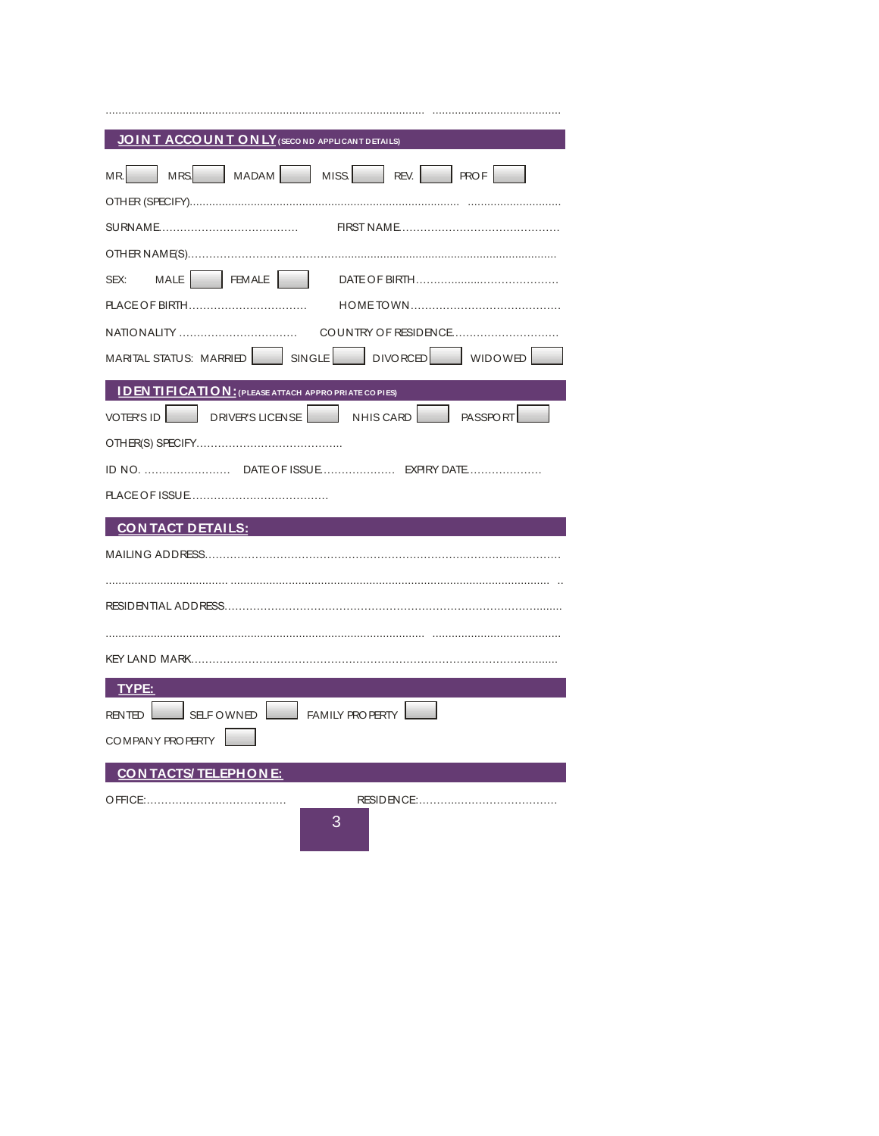| JOINT ACCOUNT ON LY (SECO ND APPLICANT DETAILS)             |
|-------------------------------------------------------------|
| MR MRS MADAM MISS REV. PROF                                 |
|                                                             |
|                                                             |
|                                                             |
|                                                             |
|                                                             |
|                                                             |
| MARITAL STATUS: MARRIED   SINGLE   DIVORCED   WIDOWED       |
| <b>IDENTIFICATION:</b> (PLEASE ATTACH APPRO PRIATE CO PIES) |
| VOTER'S ID   DRIVER'S LICENSE   NHIS CARD   PASSPORT        |
|                                                             |
|                                                             |
|                                                             |
| <u>CONTACT DETAILS:</u>                                     |
| MAILING ADDRESS………………………………………………………………………………………            |
|                                                             |
|                                                             |
|                                                             |
|                                                             |
| TYPE:                                                       |
| SELFOWNED FAMILY PROPERTY<br><b>RENTED</b>                  |
| COMPANY PROPERTY                                            |
| CON TACTS/ TELEPHONE:                                       |
|                                                             |
| 3                                                           |
|                                                             |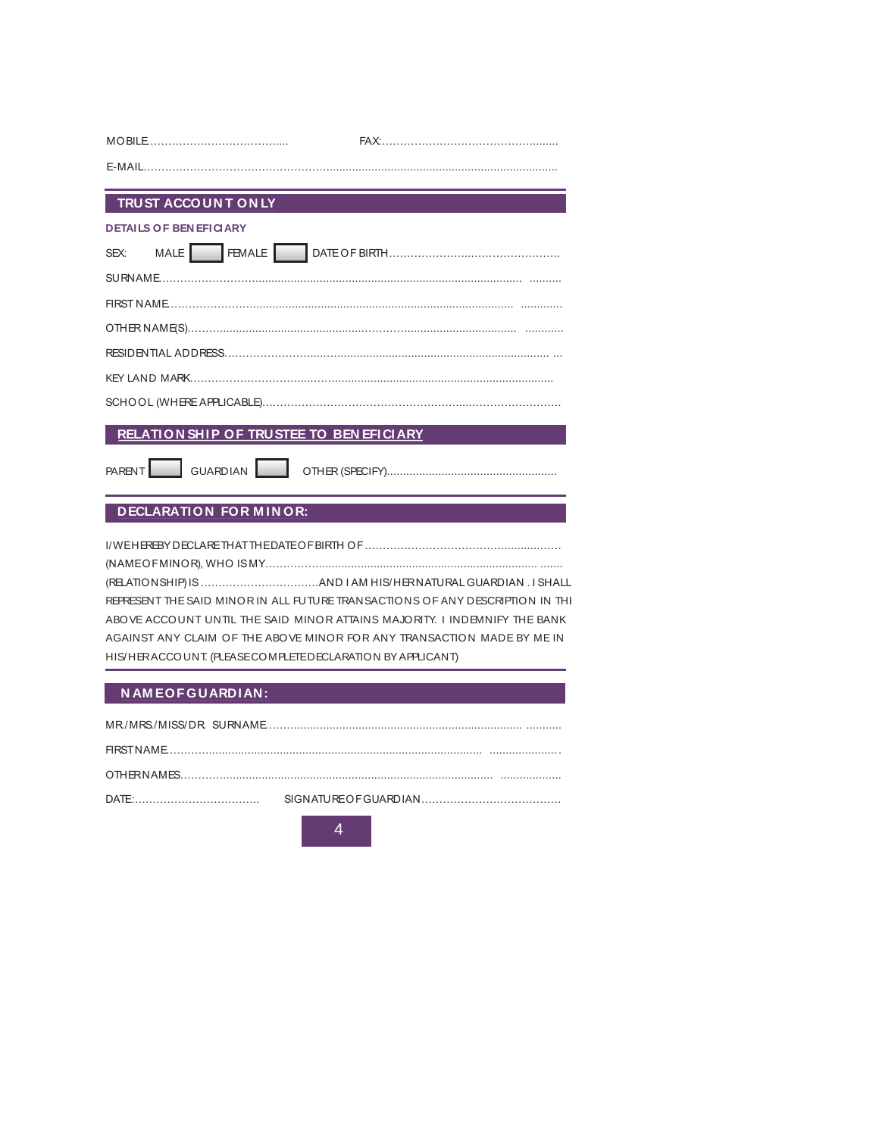| <b>TRUST ACCOUNT ON LY</b> |  |
|----------------------------|--|
|                            |  |

# **TRUST ACCOUNT O<br>DETAILS OF BEN EFICIARY**

| <b>DETAILS OF BEN EFICIARY</b> |
|--------------------------------|
|                                |
|                                |
|                                |
|                                |
|                                |
|                                |
|                                |

## **RELATI O N SHI P O F TRUSTEE TO BEN EFI CI ARY**

PARENT GUARDIAN OTHER (SPECIFY).....................................................

### **DECLARATION FOR MINOR:**

|                                                            | REPRESENT THE SAID MINOR IN ALL FUTURE TRANSACTIONS OF ANY DESCRIPTION IN THI |
|------------------------------------------------------------|-------------------------------------------------------------------------------|
|                                                            | ABOVE ACCOUNT UNTIL THE SAID MINOR ATTAINS MAJORITY. I INDEMNIFY THE BANK     |
|                                                            | AGAINST ANY CLAIM OF THE ABOVE MINOR FOR ANY TRANSACTION MADE BY ME IN        |
| HIS/HERACCOUNT. (PLEASE COMPLETED ECLARATION BY APPLICANT) |                                                                               |
|                                                            |                                                                               |

#### **N AM E O F G UARDI AN:**

| DATF |  |
|------|--|
|      |  |

4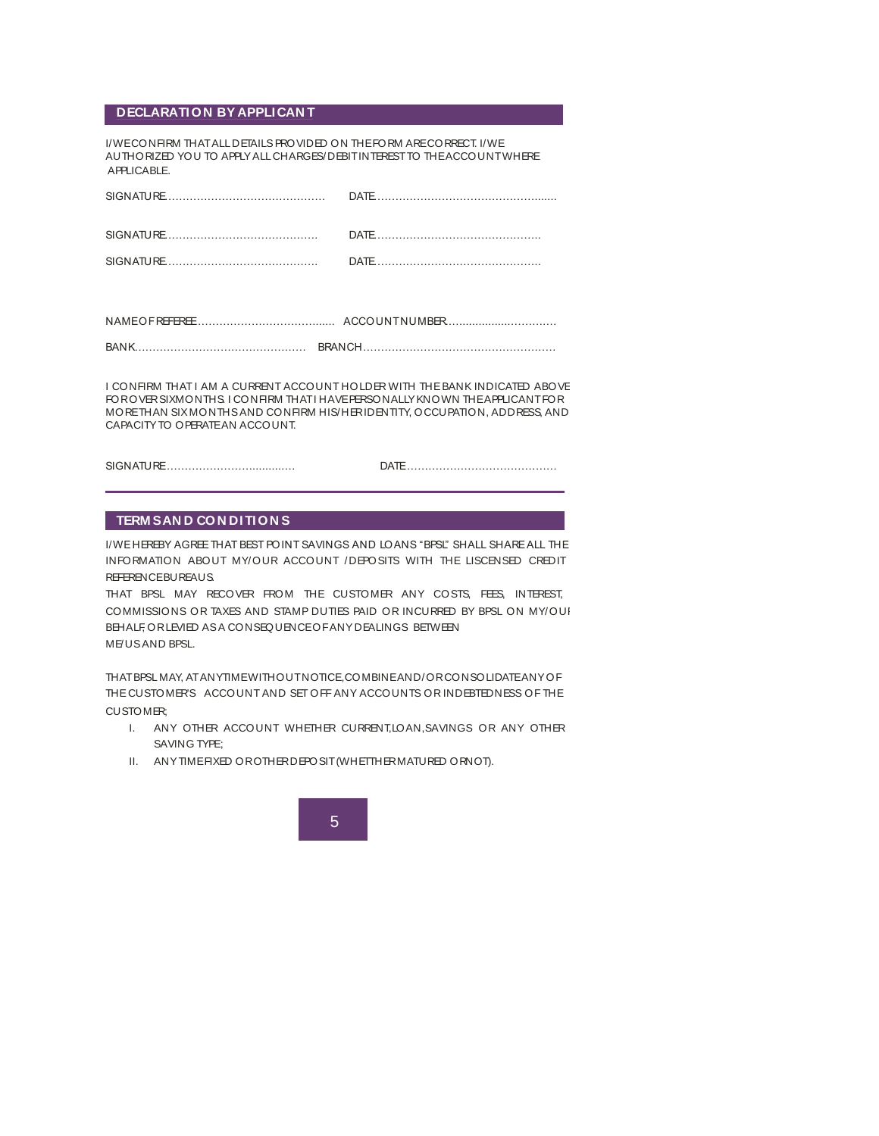#### **DECLARATION BY APPLICAN T**

I/WE CONFIRM THAT ALL DETAILS PROVIDED ON THE FORM ARE CORRECT. I/WE AUTHORIZED YOU TO APPLY ALL CHARGES/DEBIT INTEREST TO THE ACCOUNT WHERE APPLICABLE.

| APPLICABLE.  |                      |
|--------------|----------------------|
|              |                      |
|              |                      |
|              | $\overline{DATF}$    |
|              |                      |
|              |                      |
|              |                      |
| NAMEOFREEREE | <b>ACCOUNTNUMBER</b> |

| <b>RAN</b> |  |
|------------|--|

I CONFIRM THAT I AM A CURRENT ACCOUNT HOLDER WITH THE BANK INDICATED ABOVE FOR OVER SIX MONTHS. I CONFIRM THAT I HAVE PERSONALLY KNOWN THE APPLICANT FOR MORE THAN SIX MONTHS AND CONFIRM HIS/HER IDENTITY, OCCUPATION, ADDRESS, AND CAPACITY TO OPERATE AN ACCOUNT.

SIGNATURE ……………………..........… DATE ……………………………………

#### **TERM S AN D CON DITION S**

I/WE HEREBY AGREE THAT BEST POINT SAVINGS AND LOANS "BPSL" SHALL SHARE ALL THE INFORMATION ABOUT MY/OUR ACCOUNT /DEPOSITS WITH THE LISCENSED CREDIT REFERENCE BUREAUS.

THAT BPSL MAY RECOVER FROM THE CUSTOMER ANY COSTS, FEES, INTEREST, COMMISSIONS OR TAXES AND STAMP DUTIES PAID OR INCURRED BY BPSL ON MY/OUR BEHALF, OR LEVIED AS A CONSEQUENCE OF ANY DEALINGS BETWEEN ME/US AND BPSL.

THAT BPSL MAY, AT ANYTIME WITHOUT NOTICE,COMBINE AND/OR CONSOLIDATE ANY OF THE CUSTOMER'S ACCOUNT AND SET OFF ANY ACCOUNTS OR INDEBTEDNESS OF THE CUSTOMER;

- I. ANY OTHER ACCOUNT WHETHER CURRENT, LOAN, SAVINGS OR ANY OTHER SAVING TYPE;
- II. ANY TIME FIXED OR OTHER DEPOSIT (WHETTHER MATURED ORNOT).

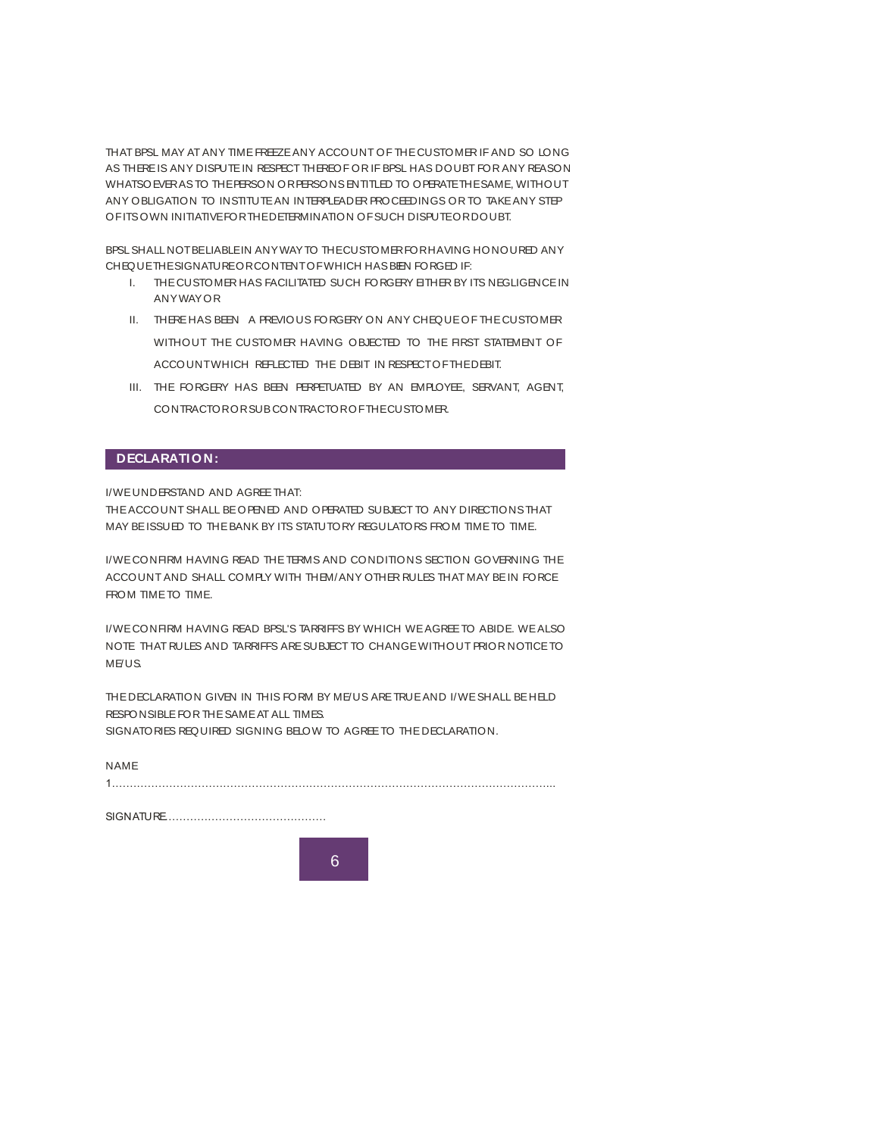THAT BPSL MAY AT ANY TIME FREEZE ANY ACCOUNT OF THE CUSTOMER IF AND SO LONG AS THERE IS ANY DISPUTE IN RESPECT THEREOF OR IF BPSL HAS DOUBT FOR ANY REASON WHATSOEVER AS TO THE PERSON OR PERSONS ENTITLED TO OPERATE THE SAME, WITHOUT ANY OBLIGATION TO INSTITUTE AN INTERPLEADER PROCEEDINGS OR TO TAKE ANY STEP OF ITS OWN INITIATIVE FOR THE DETERMINATION OF SUCH DISPUTE OR DOUBT.

BPSL SHALL NOT BELIABLE IN ANY WAY TO THE CUSTOMER FOR HAVING HONOURED ANY CHEQUE THE SIGNATURE OR CONTENT OF WHICH HAS BEN FORGED IF:

- I. THE CUSTOMER HAS FACILITATED SUCH FORGERY EITHER BY ITS NEGLIGENCE IN ANY WAY OR
- II. THERE HAS BEEN A PREVIOUS FORGERY ON ANY CHEQUE OF THE CUSTOMER WITHOUT THE CUSTOMER HAVING OBJECTED TO THE FIRST STATEMENT OF ACCOUNT WHICH REFLECTED THE DEBIT IN RESPECT OF THE DEBIT.
- III. THE FORGERY HAS BEEN PERPETUATED BY AN EMPLOYEE, SERVANT, AGENT, CONTRACTOR OR SUB CONTRACTOR OF THE CUSTOMER.

#### **DECLARATION:**

I/WE UNDERSTAND AND AGREE THAT:

THE ACCOUNT SHALL BE OPENED AND OPERATED SUBJECT TO ANY DIRECTIONS THAT MAY BE ISSUED TO THE BANK BY ITS STATUTORY REGULATORS FROM TIME TO TIME.

I/WE CONFIRM HAVING READ THE TERMS AND CONDITIONS SECTION GOVERNING THE ACCOUNT AND SHALL COMPLY WITH THEM/ANY OTHER RULES THAT MAY BE IN FORCE FROM TIME TO TIME.

I/WE CONFIRM HAVING READ BPSL'S TARRIFFS BY WHICH WE AGREE TO ABIDE. WE ALSO NOTE THAT RULES AND TARRIFFS ARE SUBJECT TO CHANGE WITHOUT PRIOR NOTICE TO ME/US.

THE DECLARATION GIVEN IN THIS FORM BY ME/US ARE TRUE AND I/WE SHALL BE HELD RESPONSIBLE FOR THE SAME AT ALL TIMES. SIGNATORIES REQUIRED SIGNING BELOW TO AGREE TO THE DECLARATION.

| <b>NAME</b> |  |
|-------------|--|
| 1           |  |
|             |  |

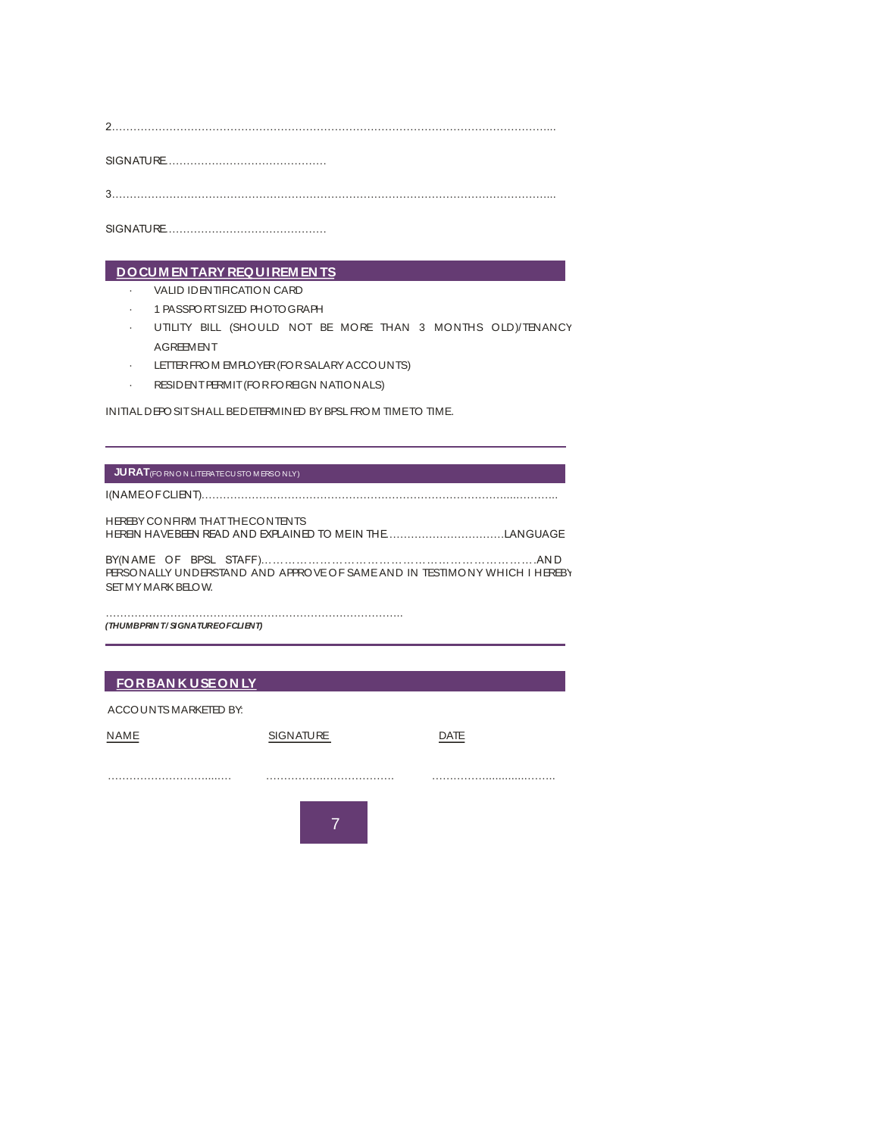SIGNATURE………………………………………

3.…………………………………………………………………………………………………………...

SIGNATURE………………………………………

### · VALID IDENTIFICATION CARD **DOCUM EN TARY REQUIREM EN TS**

- 
- · VALID IDENTIFICATION CARD<br>· 1 PASSPORT SIZED PHOTOGRAPH
- · UTILITY BILL (SHOULD NOT BE MORE THAN 3 MONTHS OLD)/TENANCY AGREEMENT UTILIT BILL (SHOULD NOT BE MORE THAN<br>AGREEMENT<br>LETTER FROM EMPLOYER (FOR SALARY ACCOUNTS)
- AGREBINENT<br>· LETTER FROM EMPLOYER (FOR SALARY ACCOU<br>· RESIDENT PERMIT (FOR FOREIGN NATIONALS)
- 

INITIAL DEPOSIT SHALL BE DETERMINED BY BPSL FROM TIME TO TIME.

#### **JURAT** (FO RN O N LITERATE CU STO M ERSO NLY)

I(NAME OF CLIENT)………………………………………………………………………….....………..

HEREBY CONFIRM THAT THE CONTENTS HEREIN HAVE BEEN READ AND EXPLAINED TO ME IN THE……………………………LANGUAGE BY(N AME OF BPSL STAFF)…………………………………………………………….AN D I

PERSONALLY UNDERSTAND AND APPROVE OF SAME AND IN TESTIMONY WHICH I HEREBY SET MY MARK BELOW.

……………………………………………………………………….. *(THUMB PRIN T / SIGNATURE OF CLIENT)*

#### **FOR BAN K USE ON LY**

 ACCOUNTS MARKETED BY: NAME SIGNATURE DATE ……………………….....… ……………..………………. …………….............…….. 7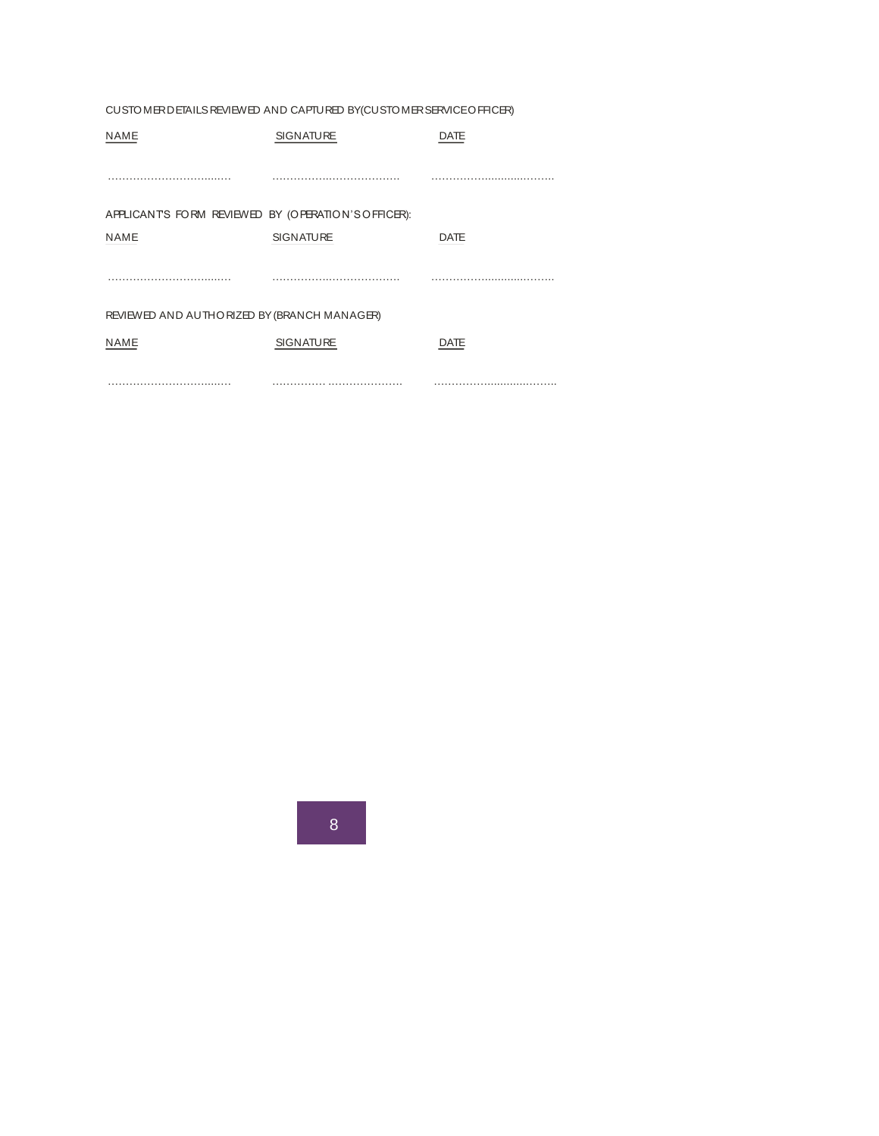| CUSTOMER DETAILS REVIEWED AND CAPTURED BY(CUSTOMER SERVICE OFFICER) |                  |             |  |  |  |  |
|---------------------------------------------------------------------|------------------|-------------|--|--|--|--|
| <b>NAME</b>                                                         | <b>SIGNATURE</b> | DATE        |  |  |  |  |
|                                                                     |                  |             |  |  |  |  |
|                                                                     |                  |             |  |  |  |  |
| APPLICANTS FORM REVIEWED BY (OPERATION'S OFFICER):                  |                  |             |  |  |  |  |
| <b>NAME</b>                                                         | <b>SIGNATURE</b> | <b>DATE</b> |  |  |  |  |
|                                                                     |                  |             |  |  |  |  |
|                                                                     |                  |             |  |  |  |  |
| REVIEWED AND AUTHORIZED BY (BRANCH MANAGER)                         |                  |             |  |  |  |  |
| <b>NAME</b>                                                         | <b>SIGNATURE</b> | <b>DATE</b> |  |  |  |  |
|                                                                     |                  |             |  |  |  |  |
|                                                                     |                  |             |  |  |  |  |

8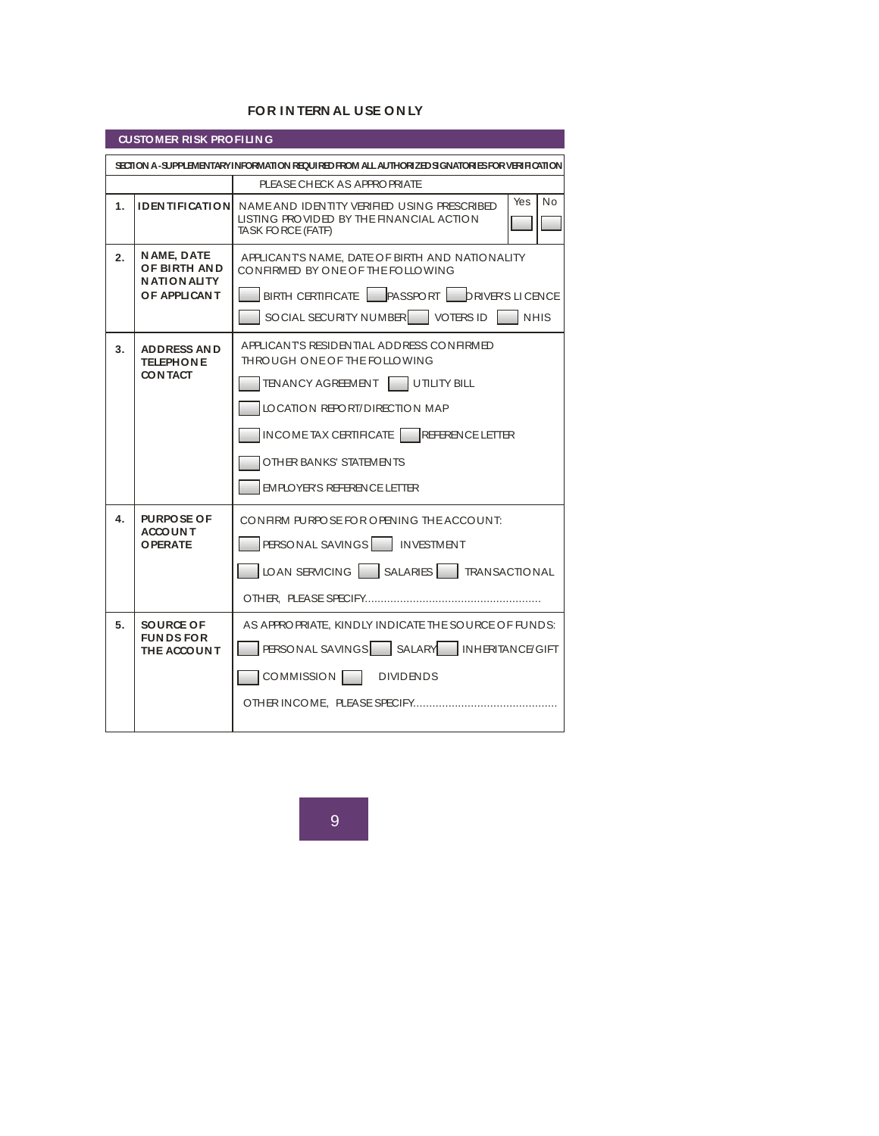#### **FOR IN TERN AL USE ON LY**

| FOR INTERNAL USE ON LY                                                                        |                                                                          |                                                                                                                                                                                                                                                        |  |  |  |  |  |
|-----------------------------------------------------------------------------------------------|--------------------------------------------------------------------------|--------------------------------------------------------------------------------------------------------------------------------------------------------------------------------------------------------------------------------------------------------|--|--|--|--|--|
| <b>CUSTOMER RISK PROFILING</b>                                                                |                                                                          |                                                                                                                                                                                                                                                        |  |  |  |  |  |
| SECTION A-SUPPLEMENTARY INFORMATION REQUIRED FROM ALL AUTHORIZED SIGNATORIES FOR VERIFICATION |                                                                          |                                                                                                                                                                                                                                                        |  |  |  |  |  |
|                                                                                               |                                                                          | PLEASE CHECK AS APPROPRIATE                                                                                                                                                                                                                            |  |  |  |  |  |
| $\mathbf{1}$ .                                                                                | <b>IDENTIFICATION</b>                                                    | N <sub>o</sub><br>Yes<br>NAME AND IDENTITY VERIFIED USING PRESCRIBED<br>LISTING PROVIDED BY THE FINANCIAL ACTION<br>TASK FORCE (FATF)                                                                                                                  |  |  |  |  |  |
| 2.                                                                                            | N AME, DATE<br><b>OF BIRTH AND</b><br><b>NATIONALITY</b><br>OF APPLICANT | APPLICANTS NAME, DATE OF BIRTH AND NATIONALITY<br>CONFIRMED BY ONE OF THE FOLLOWING<br>BIRTH CERTIFICATE   PASSPORT   DRIVER'S LICENCE<br>SOCIAL SECURITY NUMBER   VOTERS ID   NHIS                                                                    |  |  |  |  |  |
| 3.                                                                                            | <b>ADDRESS AND</b><br><b>TELEPHONE</b><br>CON TACT                       | APPLICANTS RESIDENTIAL ADDRESS CONFIRMED<br>THROUGH ONE OF THE FOLLOWING<br>TENANCY AGREEMENT UTILITY BILL<br>LOCATION REPORT/DIRECTION MAP<br>INCOMETAX CERTIFICATE REFERENCE LETTER<br>OTHER BANKS' STATEMENTS<br><b>EMPLOYER'S REFERENCE LETTER</b> |  |  |  |  |  |
| 4.                                                                                            | <b>PURPOSE OF</b><br><b>ACCOUNT</b><br><b>OPERATE</b>                    | CONFIRM PURPOSE FOR OPENING THE ACCOUNT:<br>PERSONAL SAVINGS I INVESTMENT<br>LOAN SERVICING SALARIES TRANSACTIONAL<br>OTHER, PLEASE SPECIFY                                                                                                            |  |  |  |  |  |
| 5.                                                                                            | SOURCE OF<br><b>FUNDSFOR</b><br>THE ACCOUNT                              | AS APPROPRIATE, KINDLY INDICATE THE SOURCE OF FUNDS:<br>PERSONAL SAVINGS   SALARY   INHERITANCE/GIFT<br>COMMISSION  <br><b>DIVIDENDS</b><br>OTHER INCOME, PLEASE SPECIFY                                                                               |  |  |  |  |  |

9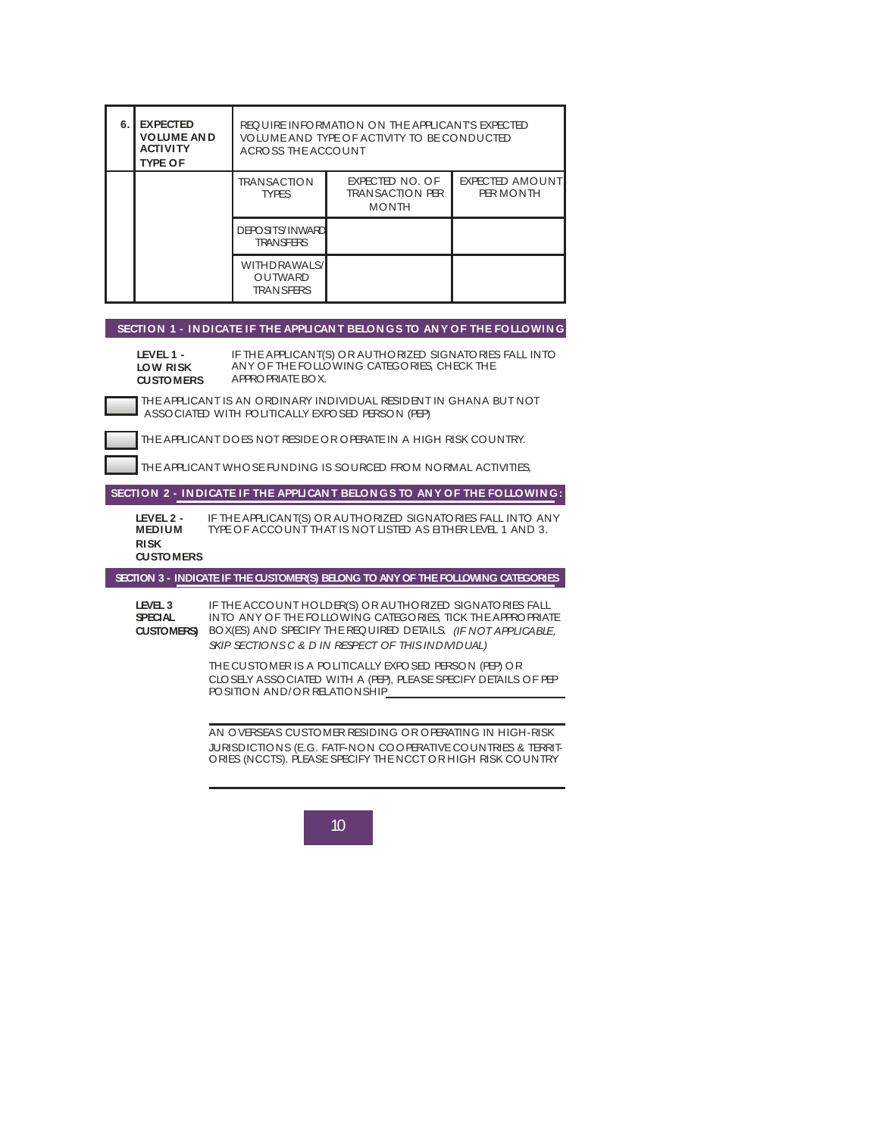| 6. | <b>EXPECTED</b>                                                                                                                                                        |                                                     |                                                                                                                                                                                                                                              |                              |  |
|----|------------------------------------------------------------------------------------------------------------------------------------------------------------------------|-----------------------------------------------------|----------------------------------------------------------------------------------------------------------------------------------------------------------------------------------------------------------------------------------------------|------------------------------|--|
|    | <b>VOLUME AND</b><br><b>ACTIVITY</b><br><b>TYPE OF</b>                                                                                                                 |                                                     | REQUIRE INFORMATION ON THE APPLICANTS EXPECTED<br>VOLUME AND TYPE OF ACTIVITY TO BE CONDUCTED<br>ACROSS THE ACCOUNT                                                                                                                          |                              |  |
|    |                                                                                                                                                                        | <b>TRANSACTION</b><br><b>TYPES</b>                  | EXPECTED NO. OF<br><b>TRANSACTION PER</b><br><b>MONTH</b>                                                                                                                                                                                    | EXPECTED AMOUNT<br>PER MONTH |  |
|    |                                                                                                                                                                        | <b>DEPOSITS/INWARD</b><br><b>TRANSFERS</b>          |                                                                                                                                                                                                                                              |                              |  |
|    |                                                                                                                                                                        | <b>WITHDRAWALS/</b><br>OUTWARD<br><b>TRAN SFERS</b> |                                                                                                                                                                                                                                              |                              |  |
|    |                                                                                                                                                                        |                                                     | SECTION 1 - INDICATE IF THE APPLICANT BELONGS TO ANY OF THE FOLLOWING                                                                                                                                                                        |                              |  |
|    | LEVEL 1 -<br>IF THE APPLICANT(S) OR AUTHORIZED SIGNATORIES FALL INTO<br>ANY OF THE FOLLOWING CATEGORIES, CHECK THE<br>LOW RISK<br>APPROPRIATE BOX.<br><b>CUSTOMERS</b> |                                                     |                                                                                                                                                                                                                                              |                              |  |
|    | THE APPLICANT IS AN ORDINARY INDIVIDUAL RESIDENT IN GHANA BUT NOT<br>ASSOCIATED WITH POLITICALLY EXPOSED PERSON (PEP)                                                  |                                                     |                                                                                                                                                                                                                                              |                              |  |
|    | THE APPLICANT DOES NOT RESIDE OR OPERATE IN A HIGH RISK COUNTRY.                                                                                                       |                                                     |                                                                                                                                                                                                                                              |                              |  |
|    |                                                                                                                                                                        |                                                     | THE APPLICANT WHOSE FUNDING IS SOURCED FROM NORMAL ACTIVITIES.                                                                                                                                                                               |                              |  |
|    |                                                                                                                                                                        |                                                     |                                                                                                                                                                                                                                              |                              |  |
|    |                                                                                                                                                                        |                                                     | SECTION 2 - INDICATE IF THE APPLICANT BELONGS TO ANY OF THE FOLLOWING:                                                                                                                                                                       |                              |  |
|    | LEVEL 2 -<br><b>MEDIUM</b><br><b>RISK</b><br><b>CUSTOMERS</b>                                                                                                          |                                                     | IF THE APPLICANT(S) OR AUTHORIZED SIGNATORIES FALL INTO ANY<br>TYPE OF ACCOUNT THAT IS NOT LISTED AS EITHER LEVEL 1 AND 3.                                                                                                                   |                              |  |
|    |                                                                                                                                                                        |                                                     | SECTION 3 - INDICATE IF THE CUSTOMER(S) BELONG TO ANY OF THE FOLLOWING CATEGORIES                                                                                                                                                            |                              |  |
|    | LEVEL 3<br><b>SPECIAL</b><br><b>CUSTOMERS</b>                                                                                                                          |                                                     | IF THE ACCOUNT HOLD ER(S) OR AUTHORIZED SIGNATORIES FALL<br>INTO ANY OF THE FOLLOWING CATEGORIES, TICK THE APPROPRIATE<br>BOX(ES) AND SPECIFY THE REQUIRED DETAILS (IF NOT APPLICABLE,<br>SKIP SECTIONS C & D IN RESPECT OF THIS INDIVIDUAL) |                              |  |
|    |                                                                                                                                                                        | POSITION AND/OR RELATIONSHIP                        | THE CUSTOMER IS A POLITICALLY EXPOSED PERSON (PEP) OR<br>CLOSELY ASSOCIATED WITH A (PEP), PLEASE SPECIFY DETAILS OF PEP                                                                                                                      |                              |  |
|    |                                                                                                                                                                        |                                                     | AN OVERSEAS CUSTOMER RESIDING OR OPERATING IN HIGH-RISK<br>JURISDICTIONS (E.G. FATF-NON COOPERATIVE COUNTRIES & TERRIT-<br>ORIES (NCCTS). PLEASE SPECIFY THE NCCT OR HIGH RISK COUNTRY                                                       |                              |  |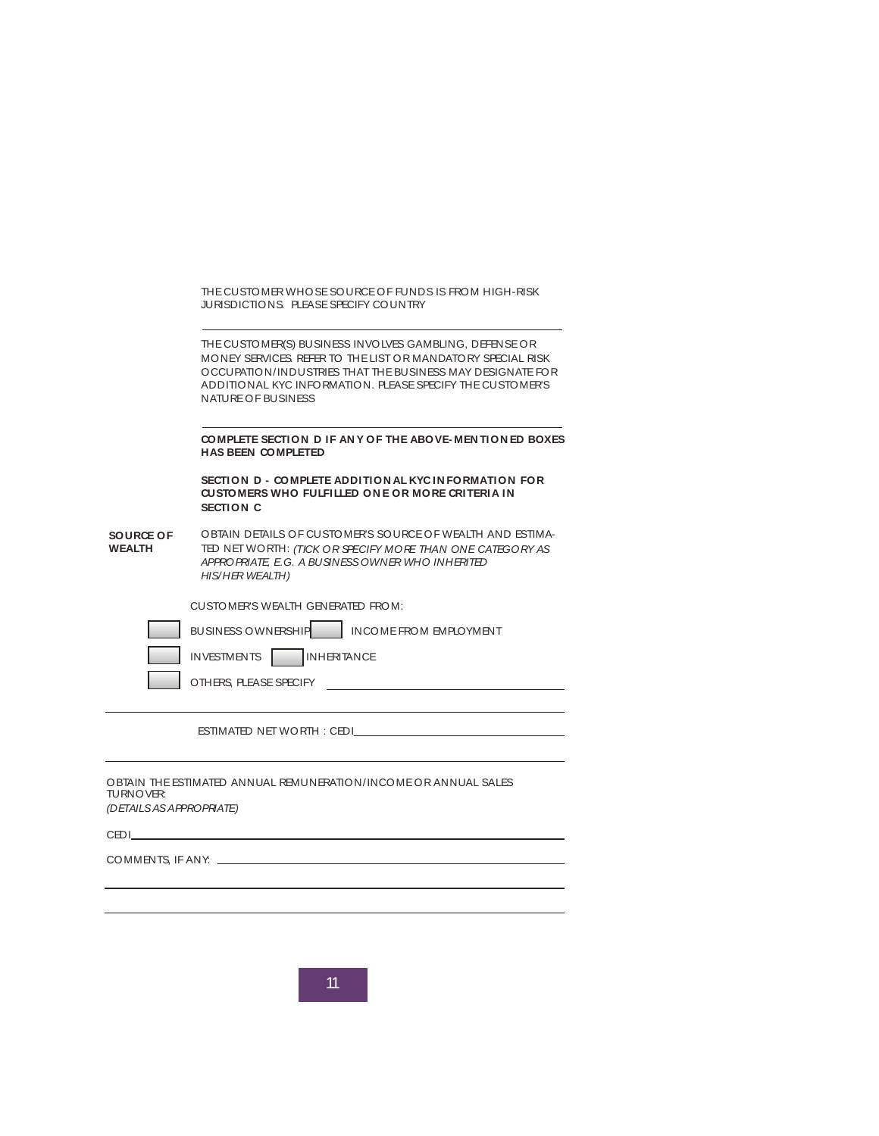|                                      | JURISDICTIONS PLEASE SPECIFY COUNTRY                                                                                                                                                                                                                                  |
|--------------------------------------|-----------------------------------------------------------------------------------------------------------------------------------------------------------------------------------------------------------------------------------------------------------------------|
|                                      | THE CUSTOMER(S) BUSINESS INVOLVES GAMBLING, DEFENSE OR<br>MONEY SERVICES, REFER TO THE LIST OR MANDATORY SPECIAL RISK<br>OCCUPATION/INDUSTRIES THAT THE BUSINESS MAY DESIGNATE FOR<br>ADDITIONAL KYC INFORMATION. PLEASE SPECIFY THE CUSTOMER'S<br>NATURE OF BUSINESS |
|                                      | COMPLETE SECTION D IF ANY OF THE ABOVE-MENTIONED BOXES<br><b>HAS BEEN COMPLETED</b>                                                                                                                                                                                   |
|                                      | SECTION D - COMPLETE ADDITION AL KYCINFORMATION FOR<br>CUSTOMERS WHO FULFILLED ONE OR MORE CRITERIA IN<br>SECTION C                                                                                                                                                   |
| SOURCE OF<br><b>WEALTH</b>           | OBTAIN DETAILS OF CUSTOMER'S SOURCE OF WEALTH AND ESTIMA-<br>TED NET WORTH: (TICK OR SPECIFY MORE THAN ONE CATEGORY AS<br>APPROPRIATE E.G. A BUSINESS OWNER WHO INHERITED<br><b>HIS/HER WEALTH)</b>                                                                   |
|                                      | CUSTOMER'S WEALTH GENERATED FROM:                                                                                                                                                                                                                                     |
|                                      | BUSINESS OWNERSHIP<br>INCOME FROM EMPLOYMENT                                                                                                                                                                                                                          |
|                                      | INHERITANCE<br><b>INVESTMENTS</b>                                                                                                                                                                                                                                     |
|                                      | OTHERS, PLEASE SPECIFY                                                                                                                                                                                                                                                |
|                                      | ESTIMATED NET WORTH: CEDI                                                                                                                                                                                                                                             |
|                                      | OBTAIN THE ESTIMATED ANNUAL REMUNERATION/INCOME OR ANNUAL SALES                                                                                                                                                                                                       |
| TURNOVER:<br>(DETAILS AS APPROPRATE) |                                                                                                                                                                                                                                                                       |
|                                      |                                                                                                                                                                                                                                                                       |

 $\overline{11}$